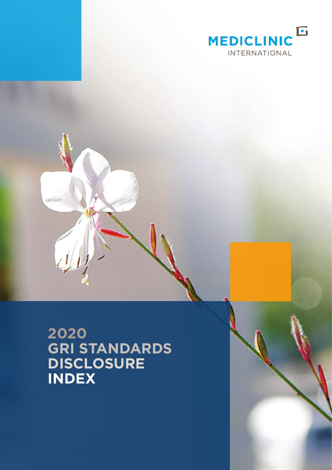

**2020 GRI STANDARDS DISCLOSURE INDEX**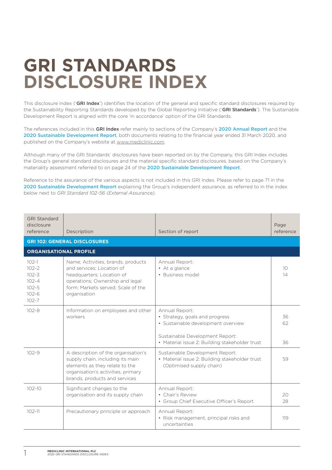# **GRI STANDARDS DISCLOSURE INDEX**

This disclosure index ('GRI Index') identifies the location of the general and specific standard disclosures required by the Sustainability Reporting Standards developed by the Global Reporting Initiative ('GRI Standards'). The Sustainable Development Report is aligned with the core 'in accordance' option of the GRI Standards.

The references included in this GRI Index refer mainly to sections of the Company's 2020 Annual Report and the 2020 Sustainable Development Report, both documents relating to the financial year ended 31 March 2020, and published on the Company's website at [www.mediclinic.com.](http://www.mediclinic.com)

Although many of the GRI Standards' disclosures have been reported on by the Company, this GRI Index includes the Group's general standard disclosures and the material specific standard disclosures, based on the Company's materiality assessment referred to on page 24 of the 2020 Sustainable Development Report.

Reference to the assurance of the various aspects is not included in this GRI Index. Please refer to page 71 in the 2020 Sustainable Development Report explaining the Group's independent assurance, as referred to in the index below next to *GRI Standard 102-56 (External Assurance).*

| <b>GRI Standard</b><br>disclosure<br>reference                                          | Description                                                                                                                                                                           | Section of report                                                                                                                                                           | Page<br>reference     |
|-----------------------------------------------------------------------------------------|---------------------------------------------------------------------------------------------------------------------------------------------------------------------------------------|-----------------------------------------------------------------------------------------------------------------------------------------------------------------------------|-----------------------|
|                                                                                         | <b>GRI 102: GENERAL DISCLOSURES</b>                                                                                                                                                   |                                                                                                                                                                             |                       |
| <b>ORGANISATIONAL PROFILE</b>                                                           |                                                                                                                                                                                       |                                                                                                                                                                             |                       |
| $102 - 1$<br>$102 - 2$<br>$102 - 3$<br>$102 - 4$<br>$102 - 5$<br>$102 - 6$<br>$102 - 7$ | Name; Activities, brands, products<br>and services: Location of<br>headquarters; Location of<br>operations; Ownership and legal<br>form; Markets served; Scale of the<br>organisation | Annual Report:<br>• At a glance<br>• Business model                                                                                                                         | 10 <sup>2</sup><br>14 |
| $102 - 8$                                                                               | Information on employees and other<br>workers                                                                                                                                         | Annual Report:<br>• Strategy, goals and progress<br>· Sustainable development overview<br>Sustainable Development Report:<br>• Material issue 2: Building stakeholder trust | 36<br>62<br>36        |
| $102 - 9$                                                                               | A description of the organisation's<br>supply chain, including its main<br>elements as they relate to the<br>organisation's activities, primary<br>brands, products and services      | Sustainable Development Report:<br>• Material issue 2: Building stakeholder trust<br>(Optimised supply chain)                                                               | 59                    |
| $102 - 10$                                                                              | Significant changes to the<br>organisation and its supply chain                                                                                                                       | Annual Report:<br>• Chair's Review<br>• Group Chief Executive Officer's Report                                                                                              | 20<br>28              |
| $102 - 11$                                                                              | Precautionary principle or approach                                                                                                                                                   | Annual Report:<br>• Risk management, principal risks and<br>uncertainties                                                                                                   | 119                   |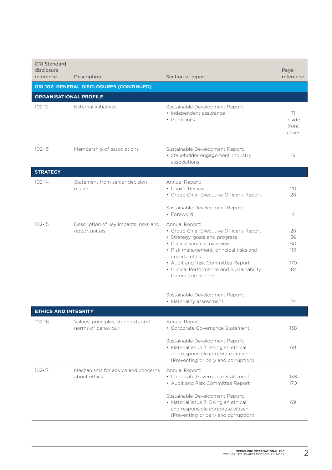| <b>GRI Standard</b><br>disclosure<br>reference | Description                                             | Section of report                                                                                                                                                                                                                                                                             | Page<br>reference                   |
|------------------------------------------------|---------------------------------------------------------|-----------------------------------------------------------------------------------------------------------------------------------------------------------------------------------------------------------------------------------------------------------------------------------------------|-------------------------------------|
|                                                | <b>GRI 102: GENERAL DISCLOSURES (CONTINUED)</b>         |                                                                                                                                                                                                                                                                                               |                                     |
| <b>ORGANISATIONAL PROFILE</b>                  |                                                         |                                                                                                                                                                                                                                                                                               |                                     |
| $102 - 12$                                     | External initiatives                                    | Sustainable Development Report:<br>• Independent assurance<br>• Guidelines                                                                                                                                                                                                                    | 71<br>Inside<br>front<br>cover      |
| $102 - 13$                                     | Membership of associations                              | Sustainable Development Report:<br>· Stakeholder engagement: Industry<br>associations                                                                                                                                                                                                         | 19                                  |
| <b>STRATEGY</b>                                |                                                         |                                                                                                                                                                                                                                                                                               |                                     |
| $102 - 14$                                     | Statement from senior decision-<br>maker                | Annual Report:<br>• Chair's Review<br>• Group Chief Executive Officer's Report                                                                                                                                                                                                                | 20<br>28                            |
|                                                |                                                         | Sustainable Development Report:<br>• Foreword                                                                                                                                                                                                                                                 | $\overline{4}$                      |
| $102 - 15$                                     | Description of key impacts, risks and<br>opportunities  | Annual Report:<br>• Group Chief Executive Officer's Report<br>• Strategy, goals and progress<br>• Clinical services overview<br>• Risk management, principal risks and<br>uncertainties<br>• Audit and Risk Committee Report<br>• Clinical Performance and Sustainability<br>Committee Report | 28<br>36<br>50<br>119<br>170<br>184 |
|                                                |                                                         | Sustainable Development Report:<br>• Materiality assessment                                                                                                                                                                                                                                   | 24                                  |
| <b>ETHICS AND INTEGRITY</b>                    |                                                         |                                                                                                                                                                                                                                                                                               |                                     |
| $102 - 16$                                     | Values, principles, standards and<br>norms of behaviour | Annual Report:<br>• Corporate Governance Statement                                                                                                                                                                                                                                            | 138                                 |
|                                                |                                                         | Sustainable Development Report:<br>• Material issue 3: Being an ethical<br>and responsible corporate citizen<br>(Preventing bribery and corruption)                                                                                                                                           | 69                                  |
| $102 - 17$                                     | Mechanisms for advice and concerns<br>about ethics      | Annual Report:<br>• Corporate Governance Statement<br>• Audit and Risk Committee Report                                                                                                                                                                                                       | 138<br>170                          |
|                                                |                                                         | Sustainable Development Report:<br>• Material issue 3: Being an ethical<br>and responsible corporate citizen<br>(Preventing bribery and corruption)                                                                                                                                           | 69                                  |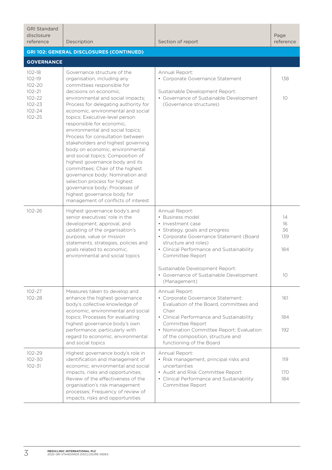| <b>GRI Standard</b><br>disclosure<br>reference                                                               | Description                                                                                                                                                                                                                                                                                                                                                                                                                                                                                                                                                                                                                           | Section of report                                                                                                                                                                                                                                                                                                           | Page<br>reference                  |
|--------------------------------------------------------------------------------------------------------------|---------------------------------------------------------------------------------------------------------------------------------------------------------------------------------------------------------------------------------------------------------------------------------------------------------------------------------------------------------------------------------------------------------------------------------------------------------------------------------------------------------------------------------------------------------------------------------------------------------------------------------------|-----------------------------------------------------------------------------------------------------------------------------------------------------------------------------------------------------------------------------------------------------------------------------------------------------------------------------|------------------------------------|
|                                                                                                              | <b>GRI 102: GENERAL DISCLOSURES (CONTINUED)</b>                                                                                                                                                                                                                                                                                                                                                                                                                                                                                                                                                                                       |                                                                                                                                                                                                                                                                                                                             |                                    |
| <b>GOVERNANCE</b>                                                                                            |                                                                                                                                                                                                                                                                                                                                                                                                                                                                                                                                                                                                                                       |                                                                                                                                                                                                                                                                                                                             |                                    |
| $102 - 18$<br>$102 - 19$<br>$102 - 20$<br>$102 - 21$<br>$102 - 22$<br>$102 - 23$<br>$102 - 24$<br>$102 - 25$ | Governance structure of the<br>organisation, including any<br>committees responsible for<br>decisions on economic.<br>environmental and social impacts;<br>Process for delegating authority for<br>economic, environmental and social<br>topics; Executive-level person<br>responsible for economic,<br>environmental and social topics;<br>Process for consultation between<br>stakeholders and highest governing<br>body on economic, environmental<br>and social topics; Composition of<br>highest governance body and its<br>committees; Chair of the highest<br>governance body; Nomination and<br>selection process for highest | Annual Report:<br>• Corporate Governance Statement<br>Sustainable Development Report:<br>• Governance of Sustainable Development<br>(Governance structures)                                                                                                                                                                 | 138<br>10 <sup>°</sup>             |
| $102 - 26$                                                                                                   | governance body; Processes of<br>highest governance body for<br>management of conflicts of interest<br>Highest governance body's and<br>senior executives' role in the<br>development, approval, and<br>updating of the organisation's<br>purpose, value or mission<br>statements, strategies, policies and<br>goals related to economic,<br>environmental and social topics                                                                                                                                                                                                                                                          | Annual Report:<br>• Business model<br>• Investment case<br>• Strategy, goals and progress<br>• Corporate Governance Statement (Board<br>structure and roles)<br>• Clinical Performance and Sustainability<br>Committee Report<br>Sustainable Development Report:<br>• Governance of Sustainable Development<br>(Management) | 14<br>16<br>36<br>139<br>184<br>10 |
| $102 - 27$<br>102-28                                                                                         | Measures taken to develop and<br>enhance the highest governance<br>body's collective knowledge of<br>economic, environmental and social<br>topics; Processes for evaluating<br>highest governance body's own<br>performance, particularly with<br>regard to economic, environmental<br>and social topics                                                                                                                                                                                                                                                                                                                              | Annual Report:<br>• Corporate Governance Statement:<br>Evaluation of the Board, committees and<br>Chair<br>• Clinical Performance and Sustainability<br>Committee Report<br>• Nomination Committee Report: Evaluation<br>of the composition, structure and<br>functioning of the Board                                      | 161<br>184<br>192                  |
| $102 - 29$<br>102-30<br>$102 - 31$                                                                           | Highest governance body's role in<br>identification and management of<br>economic, environmental and social<br>impacts, risks and opportunities;<br>Review of the effectiveness of the<br>organisation's risk management<br>processes; Frequency of review of<br>impacts, risks and opportunities                                                                                                                                                                                                                                                                                                                                     | Annual Report:<br>• Risk management, principal risks and<br>uncertainties<br>• Audit and Risk Committee Report<br>• Clinical Performance and Sustainability<br>Committee Report                                                                                                                                             | 119<br>170<br>184                  |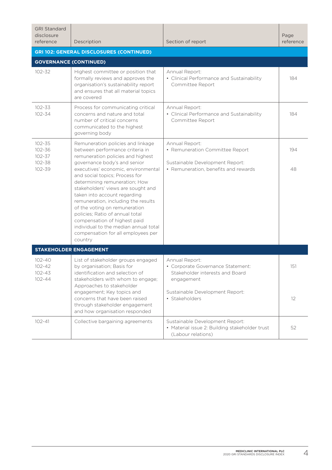| <b>GRI Standard</b><br>disclosure<br>reference             | Description                                                                                                                                                                                                                                                                                                                                                                                                                                                                                                                                                    | Section of report                                                                                                            | Page<br>reference |
|------------------------------------------------------------|----------------------------------------------------------------------------------------------------------------------------------------------------------------------------------------------------------------------------------------------------------------------------------------------------------------------------------------------------------------------------------------------------------------------------------------------------------------------------------------------------------------------------------------------------------------|------------------------------------------------------------------------------------------------------------------------------|-------------------|
|                                                            | <b>GRI 102: GENERAL DISCLOSURES (CONTINUED)</b>                                                                                                                                                                                                                                                                                                                                                                                                                                                                                                                |                                                                                                                              |                   |
| <b>GOVERNANCE (CONTINUED)</b>                              |                                                                                                                                                                                                                                                                                                                                                                                                                                                                                                                                                                |                                                                                                                              |                   |
| $102 - 32$                                                 | Highest committee or position that<br>formally reviews and approves the<br>organisation's sustainability report<br>and ensures that all material topics<br>are covered                                                                                                                                                                                                                                                                                                                                                                                         | Annual Report:<br>• Clinical Performance and Sustainability<br>Committee Report                                              | 184               |
| 102-33<br>102-34                                           | Process for communicating critical<br>concerns and nature and total<br>number of critical concerns<br>communicated to the highest<br>governing body                                                                                                                                                                                                                                                                                                                                                                                                            | Annual Report:<br>• Clinical Performance and Sustainability<br>Committee Report                                              | 184               |
| $102 - 35$<br>$102 - 36$<br>$102 - 37$<br>102-38<br>102-39 | Remuneration policies and linkage<br>between performance criteria in<br>remuneration policies and highest<br>governance body's and senior<br>executives' economic, environmental<br>and social topics; Process for<br>determining remuneration; How<br>stakeholders' views are sought and<br>taken into account regarding<br>remuneration, including the results<br>of the voting on remuneration<br>policies; Ratio of annual total<br>compensation of highest paid<br>individual to the median annual total<br>compensation for all employees per<br>country | Annual Report:<br>• Remuneration Committee Report<br>Sustainable Development Report:<br>• Remuneration, benefits and rewards | 194<br>48         |
|                                                            | STAKEHOLDER ENGAGEMENT                                                                                                                                                                                                                                                                                                                                                                                                                                                                                                                                         |                                                                                                                              |                   |
| $102 - 40$<br>$102 - 42$<br>$102 - 43$<br>$102 - 44$       | List of stakeholder groups engaged<br>by organisation; Basis for<br>identification and selection of<br>stakeholders with whom to engage;<br>Approaches to stakeholder                                                                                                                                                                                                                                                                                                                                                                                          | Annual Report:<br>• Corporate Governance Statement:<br>Stakeholder interests and Board<br>engagement                         | 151               |
|                                                            | engagement; Key topics and<br>concerns that have been raised<br>through stakeholder engagement<br>and how organisation responded                                                                                                                                                                                                                                                                                                                                                                                                                               | Sustainable Development Report:<br>· Stakeholders                                                                            | 12                |
| $102 - 41$                                                 | Collective bargaining agreements                                                                                                                                                                                                                                                                                                                                                                                                                                                                                                                               | Sustainable Development Report:<br>• Material issue 2: Building stakeholder trust<br>(Labour relations)                      | 52                |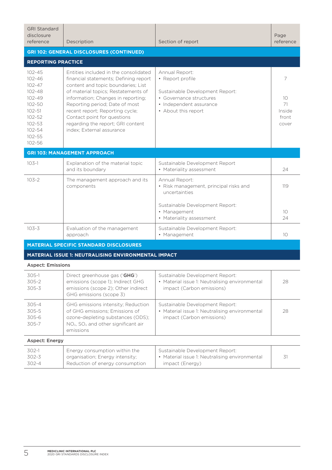| <b>GRI Standard</b><br>disclosure<br>reference                                                                                                           | Description                                                                                                                                                                                                                                                                                                                                                             | Section of report                                                                                                                                  | Page<br>reference                         |
|----------------------------------------------------------------------------------------------------------------------------------------------------------|-------------------------------------------------------------------------------------------------------------------------------------------------------------------------------------------------------------------------------------------------------------------------------------------------------------------------------------------------------------------------|----------------------------------------------------------------------------------------------------------------------------------------------------|-------------------------------------------|
|                                                                                                                                                          | <b>GRI 102: GENERAL DISCLOSURES (CONTINUED)</b>                                                                                                                                                                                                                                                                                                                         |                                                                                                                                                    |                                           |
| <b>REPORTING PRACTICE</b>                                                                                                                                |                                                                                                                                                                                                                                                                                                                                                                         |                                                                                                                                                    |                                           |
| $102 - 45$<br>$102 - 46$<br>$102 - 47$<br>$102 - 48$<br>$102 - 49$<br>$102 - 50$<br>$102 - 51$<br>$102 - 52$<br>$102 - 53$<br>102-54<br>102-55<br>102-56 | Entities included in the consolidated<br>financial statements; Defining report<br>content and topic boundaries; List<br>of material topics: Restatements of<br>information; Changes in reporting;<br>Reporting period; Date of most<br>recent report; Reporting cycle;<br>Contact point for questions<br>regarding the report; GRI content<br>index: External assurance | Annual Report:<br>• Report profile<br>Sustainable Development Report:<br>• Governance structures<br>• Independent assurance<br>• About this report | 7<br>10<br>71<br>Inside<br>front<br>cover |
|                                                                                                                                                          | <b>GRI 103: MANAGEMENT APPROACH</b>                                                                                                                                                                                                                                                                                                                                     |                                                                                                                                                    |                                           |
| $103-1$                                                                                                                                                  | Explanation of the material topic<br>and its boundary                                                                                                                                                                                                                                                                                                                   | Sustainable Development Report<br>• Materiality assessment                                                                                         | 24                                        |
| $103 - 2$                                                                                                                                                | The management approach and its<br>components                                                                                                                                                                                                                                                                                                                           | Annual Report:<br>• Risk management, principal risks and<br>uncertainties                                                                          | 119                                       |
|                                                                                                                                                          |                                                                                                                                                                                                                                                                                                                                                                         | Sustainable Development Report:<br>• Management<br>• Materiality assessment                                                                        | 10<br>24                                  |
| $103 - 3$                                                                                                                                                | Evaluation of the management<br>approach                                                                                                                                                                                                                                                                                                                                | Sustainable Development Report:<br>• Management                                                                                                    | 10 <sup>2</sup>                           |
|                                                                                                                                                          | <b>MATERIAL SPECIFIC STANDARD DISCLOSURES</b>                                                                                                                                                                                                                                                                                                                           |                                                                                                                                                    |                                           |
|                                                                                                                                                          | MATERIAL ISSUE 1: NEUTRALISING ENVIRONMENTAL IMPACT                                                                                                                                                                                                                                                                                                                     |                                                                                                                                                    |                                           |
| <b>Aspect: Emissions</b>                                                                                                                                 |                                                                                                                                                                                                                                                                                                                                                                         |                                                                                                                                                    |                                           |
| 305-1<br>$305 - 2$<br>$305 - 3$                                                                                                                          | Direct greenhouse gas ('GHG')<br>emissions (scope 1); Indirect GHG<br>emissions (scope 2); Other indirect<br>GHG emissions (scope 3)                                                                                                                                                                                                                                    | Sustainable Development Report:<br>• Material issue 1: Neutralising environmental<br>impact (Carbon emissions)                                     | 28                                        |
| $305 - 4$<br>$305 - 5$<br>305-6<br>305-7                                                                                                                 | GHG emissions intensity; Reduction<br>of GHG emissions; Emissions of<br>ozone-depleting substances (ODS);<br>NO <sub>x</sub> , SO <sub>x</sub> and other significant air<br>emissions                                                                                                                                                                                   | Sustainable Development Report:<br>• Material issue 1: Neutralising environmental<br>impact (Carbon emissions)                                     | 28                                        |
| <b>Aspect: Energy</b>                                                                                                                                    |                                                                                                                                                                                                                                                                                                                                                                         |                                                                                                                                                    |                                           |
| 302-1<br>$302 - 3$<br>$302 - 4$                                                                                                                          | Energy consumption within the<br>organisation; Energy intensity;<br>Reduction of energy consumption                                                                                                                                                                                                                                                                     | Sustainable Development Report:<br>• Material issue 1: Neutralising environmental<br>impact (Energy)                                               | 31                                        |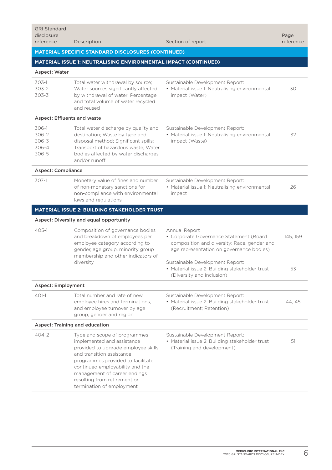| <b>GRI Standard</b>                       |                                                                                                                                                                                                                                                                                                      |                                                                                                                                                                                                                                                                       |                   |
|-------------------------------------------|------------------------------------------------------------------------------------------------------------------------------------------------------------------------------------------------------------------------------------------------------------------------------------------------------|-----------------------------------------------------------------------------------------------------------------------------------------------------------------------------------------------------------------------------------------------------------------------|-------------------|
| disclosure<br>reference                   | Description                                                                                                                                                                                                                                                                                          | Section of report                                                                                                                                                                                                                                                     | Page<br>reference |
|                                           | <b>MATERIAL SPECIFIC STANDARD DISCLOSURES (CONTINUED)</b>                                                                                                                                                                                                                                            |                                                                                                                                                                                                                                                                       |                   |
|                                           | <b>MATERIAL ISSUE 1: NEUTRALISING ENVIRONMENTAL IMPACT (CONTINUED)</b>                                                                                                                                                                                                                               |                                                                                                                                                                                                                                                                       |                   |
| Aspect: Water                             |                                                                                                                                                                                                                                                                                                      |                                                                                                                                                                                                                                                                       |                   |
| $303-1$<br>303-2<br>303-3                 | Total water withdrawal by source;<br>Water sources significantly affected<br>by withdrawal of water; Percentage<br>and total volume of water recycled<br>and reused                                                                                                                                  | Sustainable Development Report:<br>• Material issue 1: Neutralising environmental<br>impact (Water)                                                                                                                                                                   | 30                |
| <b>Aspect: Effluents and waste</b>        |                                                                                                                                                                                                                                                                                                      |                                                                                                                                                                                                                                                                       |                   |
| 306-1<br>306-2<br>306-3<br>306-4<br>306-5 | Total water discharge by quality and<br>destination; Waste by type and<br>disposal method; Significant spills;<br>Transport of hazardous waste; Water<br>bodies affected by water discharges<br>and/or runoff                                                                                        | Sustainable Development Report:<br>• Material issue 1: Neutralising environmental<br>impact (Waste)                                                                                                                                                                   | 32                |
| <b>Aspect: Compliance</b>                 |                                                                                                                                                                                                                                                                                                      |                                                                                                                                                                                                                                                                       |                   |
| 307-1                                     | Monetary value of fines and number<br>of non-monetary sanctions for<br>non-compliance with environmental<br>laws and regulations                                                                                                                                                                     | Sustainable Development Report:<br>• Material issue 1: Neutralising environmental<br>impact                                                                                                                                                                           | 26                |
|                                           | <b>MATERIAL ISSUE 2: BUILDING STAKEHOLDER TRUST</b>                                                                                                                                                                                                                                                  |                                                                                                                                                                                                                                                                       |                   |
|                                           | Aspect: Diversity and equal opportunity                                                                                                                                                                                                                                                              |                                                                                                                                                                                                                                                                       |                   |
| $405-1$                                   | Composition of governance bodies<br>and breakdown of employees per<br>employee category according to<br>gender, age group, minority group<br>membership and other indicators of<br>diversity                                                                                                         | Annual Report<br>• Corporate Governance Statement (Board<br>composition and diversity; Race, gender and<br>age representation on governance bodies)<br>Sustainable Development Report:<br>• Material issue 2: Building stakeholder trust<br>(Diversity and inclusion) | 145, 159<br>53    |
| <b>Aspect: Employment</b>                 |                                                                                                                                                                                                                                                                                                      |                                                                                                                                                                                                                                                                       |                   |
| $401-1$                                   | Total number and rate of new<br>employee hires and terminations.<br>and employee turnover by age<br>group, gender and region                                                                                                                                                                         | Sustainable Development Report:<br>• Material issue 2: Building stakeholder trust<br>(Recruitment; Retention)                                                                                                                                                         | 44, 45            |
|                                           | <b>Aspect: Training and education</b>                                                                                                                                                                                                                                                                |                                                                                                                                                                                                                                                                       |                   |
| $404 - 2$                                 | Type and scope of programmes<br>implemented and assistance<br>provided to upgrade employee skills,<br>and transition assistance<br>programmes provided to facilitate<br>continued employability and the<br>management of career endings<br>resulting from retirement or<br>termination of employment | Sustainable Development Report:<br>• Material issue 2: Building stakeholder trust<br>(Training and development)                                                                                                                                                       | 51                |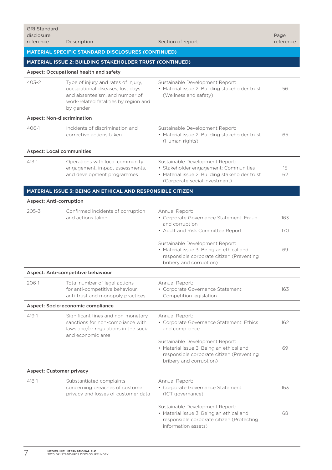| <b>GRI Standard</b><br>disclosure<br>reference | Description                                                                                                                                                     | Section of report                                                                                                                                           | Page<br>reference |  |
|------------------------------------------------|-----------------------------------------------------------------------------------------------------------------------------------------------------------------|-------------------------------------------------------------------------------------------------------------------------------------------------------------|-------------------|--|
|                                                | <b>MATERIAL SPECIFIC STANDARD DISCLOSURES (CONTINUED)</b>                                                                                                       |                                                                                                                                                             |                   |  |
|                                                | MATERIAL ISSUE 2: BUILDING STAKEHOLDER TRUST (CONTINUED)                                                                                                        |                                                                                                                                                             |                   |  |
|                                                | Aspect: Occupational health and safety                                                                                                                          |                                                                                                                                                             |                   |  |
| $403 - 2$                                      | Type of injury and rates of injury,<br>occupational diseases, lost days<br>and absenteeism, and number of<br>work-related fatalities by region and<br>by gender | Sustainable Development Report:<br>• Material issue 2: Building stakeholder trust<br>(Wellness and safety)                                                  | 56                |  |
| <b>Aspect: Non-discrimination</b>              |                                                                                                                                                                 |                                                                                                                                                             |                   |  |
| $406-1$                                        | Incidents of discrimination and<br>corrective actions taken                                                                                                     | Sustainable Development Report:<br>• Material issue 2: Building stakeholder trust<br>(Human rights)                                                         | 65                |  |
| <b>Aspect: Local communities</b>               |                                                                                                                                                                 |                                                                                                                                                             |                   |  |
| $413 - 1$                                      | Operations with local community<br>engagement, impact assessments,<br>and development programmes                                                                | Sustainable Development Report:<br>· Stakeholder engagement: Communities<br>• Material issue 2: Building stakeholder trust<br>(Corporate social investment) | 15<br>62          |  |
|                                                | MATERIAL ISSUE 3: BEING AN ETHICAL AND RESPONSIBLE CITIZEN                                                                                                      |                                                                                                                                                             |                   |  |
| <b>Aspect: Anti-corruption</b>                 |                                                                                                                                                                 |                                                                                                                                                             |                   |  |
| $205 - 3$                                      | Confirmed incidents of corruption<br>and actions taken                                                                                                          | Annual Report:<br>• Corporate Governance Statement: Fraud<br>and corruption<br>• Audit and Risk Committee Report                                            | 163<br>170        |  |
|                                                |                                                                                                                                                                 | Sustainable Development Report:<br>• Material issue 3: Being an ethical and<br>responsible corporate citizen (Preventing<br>bribery and corruption)         | 69                |  |
|                                                | Aspect: Anti-competitive behaviour                                                                                                                              |                                                                                                                                                             |                   |  |
| 206-1                                          | Total number of legal actions<br>for anti-competitive behaviour,<br>anti-trust and monopoly practices                                                           | Annual Report:<br>• Corporate Governance Statement:<br>Competition legislation                                                                              | 163               |  |
|                                                | Aspect: Socio-economic compliance                                                                                                                               |                                                                                                                                                             |                   |  |
| $419 - 1$                                      | Significant fines and non-monetary<br>sanctions for non-compliance with<br>laws and/or regulations in the social<br>and economic area                           | Annual Report:<br>• Corporate Governance Statement: Ethics<br>and compliance                                                                                | 162               |  |
|                                                |                                                                                                                                                                 | Sustainable Development Report:<br>• Material issue 3: Being an ethical and<br>responsible corporate citizen (Preventing<br>bribery and corruption)         | 69                |  |
| <b>Aspect: Customer privacy</b>                |                                                                                                                                                                 |                                                                                                                                                             |                   |  |
| $418 - 1$                                      | Substantiated complaints<br>concerning breaches of customer<br>privacy and losses of customer data                                                              | Annual Report:<br>• Corporate Governance Statement:<br>(ICT governance)                                                                                     | 163               |  |
|                                                |                                                                                                                                                                 | Sustainable Development Report:<br>• Material issue 3: Being an ethical and<br>responsible corporate citizen (Protecting<br>information assets)             | 68                |  |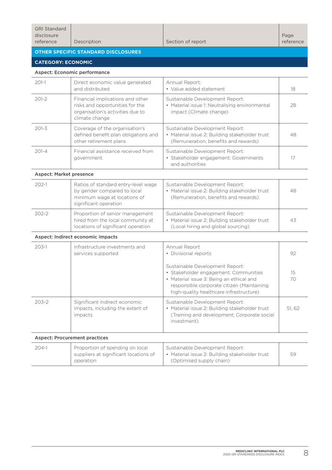| disclosure<br>reference                    | Description | Section of report | Page<br>reference |  |
|--------------------------------------------|-------------|-------------------|-------------------|--|
| <b>OTHER SPECIFIC STANDARD DISCLOSURES</b> |             |                   |                   |  |

## **CATEGORY: ECONOMIC**

#### Aspect: Economic performance

| $201-1$   | Direct economic value generated<br>and distributed                                                                        | Annual Report:<br>• Value added statement                                                                                 | 18 |
|-----------|---------------------------------------------------------------------------------------------------------------------------|---------------------------------------------------------------------------------------------------------------------------|----|
| $201 - 2$ | Financial implications and other<br>risks and opportunities for the<br>organisation's activities due to<br>climate change | Sustainable Development Report:<br>• Material issue 1: Neutralising environmental<br>impact (Climate change)              | 28 |
| $201 - 3$ | Coverage of the organisation's<br>defined benefit plan obligations and<br>other retirement plans                          | Sustainable Development Report:<br>• Material issue 2: Building stakeholder trust<br>(Remuneration, benefits and rewards) | 48 |
| $201 - 4$ | Financial assistance received from<br>government                                                                          | Sustainable Development Report:<br>· Stakeholder engagement: Governments<br>and authorities                               |    |

#### Aspect: Market presence

| $202-1$ | Ratios of standard entry-level wage<br>by gender compared to local<br>minimum wage at locations of<br>significant operation | Sustainable Development Report:<br>• Material issue 2: Building stakeholder trust<br>(Remuneration, benefits and rewards) | 48 |
|---------|-----------------------------------------------------------------------------------------------------------------------------|---------------------------------------------------------------------------------------------------------------------------|----|
| $202-2$ | Proportion of senior management<br>hired from the local community at<br>locations of significant operation                  | Sustainable Development Report:<br>• Material issue 2: Building stakeholder trust<br>(Local hiring and global sourcing)   | 43 |

Aspect: Indirect economic impacts

| $203 - 1$ | Infrastructure investments and<br>services supported                         | Annual Report<br>• Divisional reports                                                                                                                                                                         | 92       |
|-----------|------------------------------------------------------------------------------|---------------------------------------------------------------------------------------------------------------------------------------------------------------------------------------------------------------|----------|
|           |                                                                              | Sustainable Development Report:<br>• Stakeholder engagement: Communities<br>• Material issue 3: Being an ethical and<br>responsible corporate citizen (Maintaining<br>high-quality healthcare infrastructure) | 15<br>70 |
| $203-2$   | Significant indirect economic<br>impacts, including the extent of<br>impacts | Sustainable Development Report:<br>• Material issue 2: Building stakeholder trust<br>(Training and development; Corporate social<br>investment)                                                               | 51.62    |

#### Aspect: Procurement practices

| $204-1$ | Proportion of spending on local<br>suppliers at significant locations of<br>operation | Sustainable Development Report:<br>• Material issue 2: Building stakeholder trust<br>(Optimised supply chain) | 59 |
|---------|---------------------------------------------------------------------------------------|---------------------------------------------------------------------------------------------------------------|----|
|---------|---------------------------------------------------------------------------------------|---------------------------------------------------------------------------------------------------------------|----|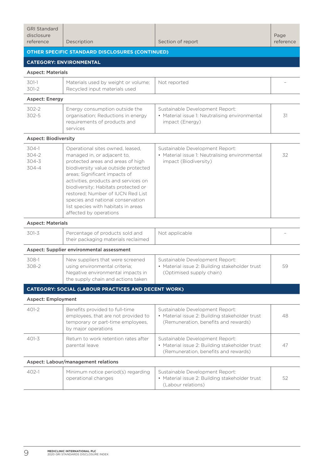| <b>GRI Standard</b><br>disclosure<br>reference | Description                                                                                                                                                                                                                                                                                                                                                                                             | Section of report                                                                                                         | Page<br>reference |  |  |  |
|------------------------------------------------|---------------------------------------------------------------------------------------------------------------------------------------------------------------------------------------------------------------------------------------------------------------------------------------------------------------------------------------------------------------------------------------------------------|---------------------------------------------------------------------------------------------------------------------------|-------------------|--|--|--|
|                                                | <b>OTHER SPECIFIC STANDARD DISCLOSURES (CONTINUED)</b>                                                                                                                                                                                                                                                                                                                                                  |                                                                                                                           |                   |  |  |  |
| <b>CATEGORY: ENVIRONMENTAL</b>                 |                                                                                                                                                                                                                                                                                                                                                                                                         |                                                                                                                           |                   |  |  |  |
| <b>Aspect: Materials</b>                       |                                                                                                                                                                                                                                                                                                                                                                                                         |                                                                                                                           |                   |  |  |  |
| $301-1$<br>$301 - 2$                           | Materials used by weight or volume;<br>Recycled input materials used                                                                                                                                                                                                                                                                                                                                    | Not reported                                                                                                              |                   |  |  |  |
| <b>Aspect: Energy</b>                          |                                                                                                                                                                                                                                                                                                                                                                                                         |                                                                                                                           |                   |  |  |  |
| 302-2<br>$302 - 5$                             | Energy consumption outside the<br>organisation; Reductions in energy<br>requirements of products and<br>services                                                                                                                                                                                                                                                                                        | Sustainable Development Report:<br>• Material issue 1: Neutralising environmental<br>impact (Energy)                      | 31                |  |  |  |
| <b>Aspect: Biodiversity</b>                    |                                                                                                                                                                                                                                                                                                                                                                                                         |                                                                                                                           |                   |  |  |  |
| $304-1$<br>304-2<br>304-3<br>304-4             | Operational sites owned, leased,<br>managed in, or adjacent to,<br>protected areas and areas of high<br>biodiversity value outside protected<br>areas; Significant impacts of<br>activities, products and services on<br>biodiversity; Habitats protected or<br>restored; Number of IUCN Red List<br>species and national conservation<br>list species with habitats in areas<br>affected by operations | Sustainable Development Report:<br>• Material issue 1: Neutralising environmental<br>impact (Biodiversity)                | 32                |  |  |  |
| <b>Aspect: Materials</b>                       |                                                                                                                                                                                                                                                                                                                                                                                                         |                                                                                                                           |                   |  |  |  |
| $301 - 3$                                      | Percentage of products sold and<br>their packaging materials reclaimed                                                                                                                                                                                                                                                                                                                                  | Not applicable                                                                                                            |                   |  |  |  |
|                                                | Aspect: Supplier environmental assessment                                                                                                                                                                                                                                                                                                                                                               |                                                                                                                           |                   |  |  |  |
| 308-1<br>308-2                                 | New suppliers that were screened<br>using environmental criteria;<br>Negative environmental impacts in<br>the supply chain and actions taken                                                                                                                                                                                                                                                            | Sustainable Development Report:<br>· Material issue 2: Building stakeholder trust<br>(Optimised supply chain)             | 59                |  |  |  |
|                                                | <b>CATEGORY: SOCIAL (LABOUR PRACTICES AND DECENT WORK)</b>                                                                                                                                                                                                                                                                                                                                              |                                                                                                                           |                   |  |  |  |
| <b>Aspect: Employment</b>                      |                                                                                                                                                                                                                                                                                                                                                                                                         |                                                                                                                           |                   |  |  |  |
| 401-2                                          | Benefits provided to full-time<br>employees, that are not provided to<br>temporary or part-time employees,<br>by major operations                                                                                                                                                                                                                                                                       | Sustainable Development Report:<br>• Material issue 2: Building stakeholder trust<br>(Remuneration, benefits and rewards) | 48                |  |  |  |
| $401 - 3$                                      | Return to work retention rates after<br>parental leave                                                                                                                                                                                                                                                                                                                                                  | Sustainable Development Report:<br>• Material issue 2: Building stakeholder trust<br>(Remuneration, benefits and rewards) | 47                |  |  |  |
| Aspect: Labour/management relations            |                                                                                                                                                                                                                                                                                                                                                                                                         |                                                                                                                           |                   |  |  |  |
| $402 - 1$                                      | Minimum notice period(s) regarding<br>operational changes                                                                                                                                                                                                                                                                                                                                               | Sustainable Development Report:<br>• Material issue 2: Building stakeholder trust<br>(Labour relations)                   | 52                |  |  |  |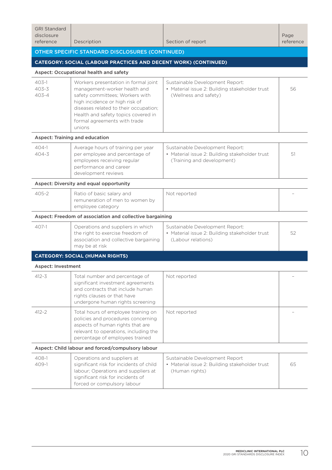| <b>GRI Standard</b><br>disclosure<br>reference                  | Description                                                                                                                                                                                                                                                         | Section of report                                                                                               | Page<br>reference |  |  |  |  |
|-----------------------------------------------------------------|---------------------------------------------------------------------------------------------------------------------------------------------------------------------------------------------------------------------------------------------------------------------|-----------------------------------------------------------------------------------------------------------------|-------------------|--|--|--|--|
|                                                                 | OTHER SPECIFIC STANDARD DISCLOSURES (CONTINUED)                                                                                                                                                                                                                     |                                                                                                                 |                   |  |  |  |  |
| CATEGORY: SOCIAL (LABOUR PRACTICES AND DECENT WORK) (CONTINUED) |                                                                                                                                                                                                                                                                     |                                                                                                                 |                   |  |  |  |  |
|                                                                 | Aspect: Occupational health and safety                                                                                                                                                                                                                              |                                                                                                                 |                   |  |  |  |  |
| $403-1$<br>$403 - 3$<br>$403 - 4$                               | Workers presentation in formal joint<br>management-worker health and<br>safety committees; Workers with<br>high incidence or high risk of<br>diseases related to their occupation;<br>Health and safety topics covered in<br>formal agreements with trade<br>unions | Sustainable Development Report:<br>• Material issue 2: Building stakeholder trust<br>(Wellness and safety)      | 56                |  |  |  |  |
|                                                                 | Aspect: Training and education                                                                                                                                                                                                                                      |                                                                                                                 |                   |  |  |  |  |
| $404-1$<br>$404 - 3$                                            | Average hours of training per year<br>per employee and percentage of<br>employees receiving regular<br>performance and career<br>development reviews                                                                                                                | Sustainable Development Report:<br>• Material issue 2: Building stakeholder trust<br>(Training and development) | 51                |  |  |  |  |
|                                                                 | Aspect: Diversity and equal opportunity                                                                                                                                                                                                                             |                                                                                                                 |                   |  |  |  |  |
| $405 - 2$                                                       | Ratio of basic salary and<br>remuneration of men to women by<br>employee category                                                                                                                                                                                   | Not reported                                                                                                    |                   |  |  |  |  |
|                                                                 | Aspect: Freedom of association and collective bargaining                                                                                                                                                                                                            |                                                                                                                 |                   |  |  |  |  |
| $407-1$                                                         | Operations and suppliers in which<br>the right to exercise freedom of<br>association and collective bargaining<br>may be at risk                                                                                                                                    | Sustainable Development Report:<br>• Material issue 2: Building stakeholder trust<br>(Labour relations)         | 52                |  |  |  |  |
|                                                                 | <b>CATEGORY: SOCIAL (HUMAN RIGHTS)</b>                                                                                                                                                                                                                              |                                                                                                                 |                   |  |  |  |  |
| <b>Aspect: Investment</b>                                       |                                                                                                                                                                                                                                                                     |                                                                                                                 |                   |  |  |  |  |
| $412 - 3$                                                       | Total number and percentage of<br>significant investment agreements<br>and contracts that include human<br>rights clauses or that have<br>undergone human rights screening                                                                                          | Not reported                                                                                                    |                   |  |  |  |  |
| $412 - 2$                                                       | Total hours of employee training on<br>policies and procedures concerning<br>aspects of human rights that are<br>relevant to operations, including the<br>percentage of employees trained                                                                           | Not reported                                                                                                    |                   |  |  |  |  |
| Aspect: Child labour and forced/compulsory labour               |                                                                                                                                                                                                                                                                     |                                                                                                                 |                   |  |  |  |  |
| 408-1<br>409-1                                                  | Operations and suppliers at<br>significant risk for incidents of child<br>labour; Operations and suppliers at<br>significant risk for incidents of<br>forced or compulsory labour                                                                                   | Sustainable Development Report<br>• Material issue 2: Building stakeholder trust<br>(Human rights)              | 65                |  |  |  |  |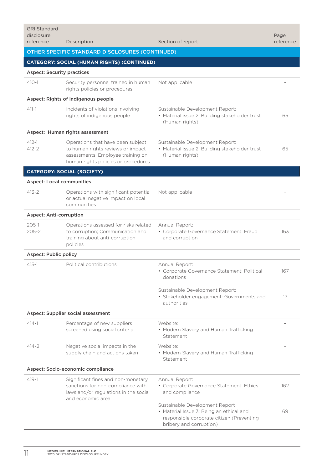| <b>OTHER SPECIFIC STANDARD DISCLOSURES (CONTINUED)</b>                                                                                                                                                                                                                              |     |  |  |  |  |
|-------------------------------------------------------------------------------------------------------------------------------------------------------------------------------------------------------------------------------------------------------------------------------------|-----|--|--|--|--|
| <b>CATEGORY: SOCIAL (HUMAN RIGHTS) (CONTINUED)</b>                                                                                                                                                                                                                                  |     |  |  |  |  |
| <b>Aspect: Security practices</b>                                                                                                                                                                                                                                                   |     |  |  |  |  |
| $410 - 1$<br>Security personnel trained in human<br>Not applicable<br>rights policies or procedures                                                                                                                                                                                 |     |  |  |  |  |
| Aspect: Rights of indigenous people                                                                                                                                                                                                                                                 |     |  |  |  |  |
| Incidents of violations involving<br>$411 - 1$<br>Sustainable Development Report:<br>rights of indigenous people<br>• Material issue 2: Building stakeholder trust<br>(Human rights)                                                                                                | 65  |  |  |  |  |
| Aspect: Human rights assessment                                                                                                                                                                                                                                                     |     |  |  |  |  |
| $412 - 1$<br>Operations that have been subject<br>Sustainable Development Report:<br>$412 - 2$<br>to human rights reviews or impact<br>• Material issue 2: Building stakeholder trust<br>assessments; Employee training on<br>(Human rights)<br>human rights policies or procedures | 65  |  |  |  |  |
| <b>CATEGORY: SOCIAL (SOCIETY)</b>                                                                                                                                                                                                                                                   |     |  |  |  |  |
| <b>Aspect: Local communities</b>                                                                                                                                                                                                                                                    |     |  |  |  |  |
| Operations with significant potential<br>$413 - 2$<br>Not applicable<br>or actual negative impact on local<br>communities                                                                                                                                                           |     |  |  |  |  |
| <b>Aspect: Anti-corruption</b>                                                                                                                                                                                                                                                      |     |  |  |  |  |
| Operations assessed for risks related<br>$205 - 1$<br>Annual Report:<br>$205 - 2$<br>to corruption; Communication and<br>• Corporate Governance Statement: Fraud<br>training about anti-corruption<br>and corruption<br>policies                                                    | 163 |  |  |  |  |
| <b>Aspect: Public policy</b>                                                                                                                                                                                                                                                        |     |  |  |  |  |
| $415 - 1$<br>Political contributions<br>Annual Report:<br>• Corporate Governance Statement: Political<br>donations                                                                                                                                                                  | 167 |  |  |  |  |
| Sustainable Development Report:<br>· Stakeholder engagement: Governments and<br>authorities                                                                                                                                                                                         | 17  |  |  |  |  |
| Aspect: Supplier social assessment                                                                                                                                                                                                                                                  |     |  |  |  |  |
| $414 - 1$<br>Percentage of new suppliers<br>Website:<br>screened using social criteria<br>• Modern Slavery and Human Trafficking<br>Statement                                                                                                                                       |     |  |  |  |  |
| $414 - 2$<br>Negative social impacts in the<br>Website:<br>supply chain and actions taken<br>• Modern Slavery and Human Trafficking<br>Statement                                                                                                                                    |     |  |  |  |  |
| Aspect: Socio-economic compliance                                                                                                                                                                                                                                                   |     |  |  |  |  |
| $419 - 1$<br>Significant fines and non-monetary<br>Annual Report:<br>sanctions for non-compliance with<br>• Corporate Governance Statement: Ethics<br>laws and/or regulations in the social<br>and compliance<br>and economic area                                                  | 162 |  |  |  |  |
| Sustainable Development Report<br>• Material Issue 3: Being an ethical and<br>responsible corporate citizen (Preventing<br>bribery and corruption)                                                                                                                                  | 69  |  |  |  |  |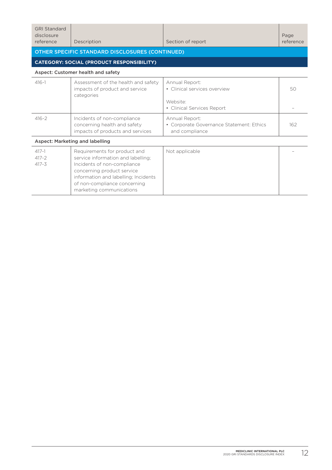| <b>GRI Standard</b><br>disclosure<br>reference   | Description                                                                                                                                                                                                                         | Section of report                                                                        | Page<br>reference |  |  |  |
|--------------------------------------------------|-------------------------------------------------------------------------------------------------------------------------------------------------------------------------------------------------------------------------------------|------------------------------------------------------------------------------------------|-------------------|--|--|--|
| OTHER SPECIFIC STANDARD DISCLOSURES (CONTINUED)  |                                                                                                                                                                                                                                     |                                                                                          |                   |  |  |  |
| <b>CATEGORY: SOCIAL (PRODUCT RESPONSIBILITY)</b> |                                                                                                                                                                                                                                     |                                                                                          |                   |  |  |  |
| Aspect: Customer health and safety               |                                                                                                                                                                                                                                     |                                                                                          |                   |  |  |  |
| $416 - 1$                                        | Assessment of the health and safety<br>impacts of product and service<br>categories                                                                                                                                                 | Annual Report:<br>• Clinical services overview<br>Website:<br>• Clinical Services Report | 50                |  |  |  |
| $416 - 2$                                        | Incidents of non-compliance<br>concerning health and safety<br>impacts of products and services                                                                                                                                     | Annual Report:<br>• Corporate Governance Statement: Ethics<br>and compliance             | 162               |  |  |  |
| Aspect: Marketing and labelling                  |                                                                                                                                                                                                                                     |                                                                                          |                   |  |  |  |
| $417 - 1$<br>$417 - 2$<br>$417 - 3$              | Requirements for product and<br>service information and labelling;<br>Incidents of non-compliance<br>concerning product service<br>information and labelling; Incidents<br>of non-compliance concerning<br>marketing communications | Not applicable                                                                           |                   |  |  |  |